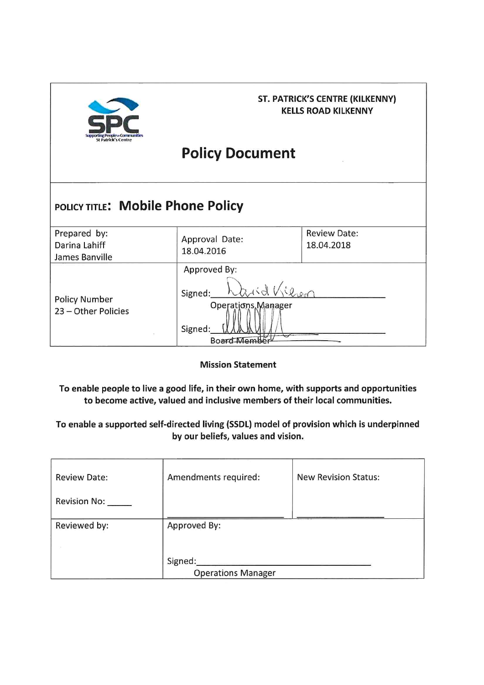

### **ST. PATRICK'S CENTRE (KILKENNY) KELLS ROAD KILKENNY**

# **Policy Document**

## POLICY TITLE: Mobile Phone Policy

| Prepared by:<br>Darina Lahiff<br>James Banville | Approval Date:<br>18.04.2016                                                                   | <b>Review Date:</b><br>18.04.2018 |
|-------------------------------------------------|------------------------------------------------------------------------------------------------|-----------------------------------|
| <b>Policy Number</b><br>23 - Other Policies     | Approved By:<br>binx<br>$n_{21}$<br>Signed:<br>Operations Manager<br>Signed:<br><b>Memberl</b> |                                   |

**Mission Statement** 

To enable people to live a good life, in their own home, with supports and opportunities to become active, valued and inclusive members of their local communities.

To enable a supported self-directed living (SSDL) model of provision which is underpinned by our beliefs, values and vision.

| <b>Review Date:</b> | Amendments required:      | <b>New Revision Status:</b> |
|---------------------|---------------------------|-----------------------------|
| <b>Revision No:</b> |                           |                             |
| Reviewed by:        | Approved By:              |                             |
|                     | Signed:                   |                             |
|                     | <b>Operations Manager</b> |                             |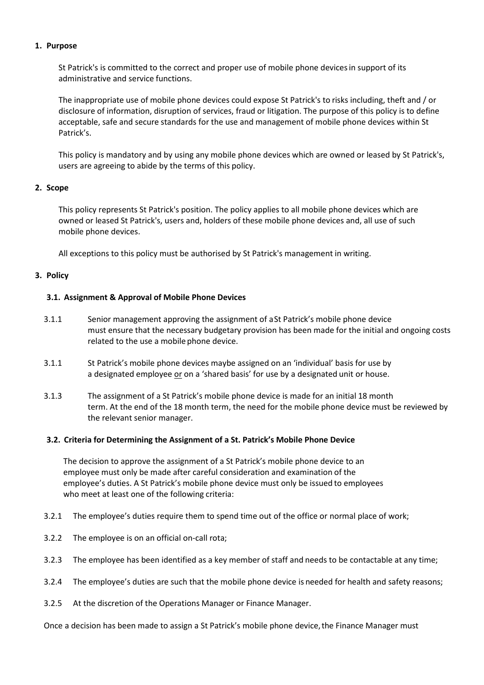#### **1. Purpose**

St Patrick's is committed to the correct and proper use of mobile phone devicesin support of its administrative and service functions.

The inappropriate use of mobile phone devices could expose St Patrick's to risks including, theft and / or disclosure of information, disruption of services, fraud or litigation. The purpose of this policy is to define acceptable, safe and secure standards for the use and management of mobile phone devices within St Patrick's.

This policy is mandatory and by using any mobile phone devices which are owned or leased by St Patrick's, users are agreeing to abide by the terms of this policy.

#### **2. Scope**

This policy represents St Patrick's position. The policy applies to all mobile phone devices which are owned or leased St Patrick's, users and, holders of these mobile phone devices and, all use of such mobile phone devices.

All exceptions to this policy must be authorised by St Patrick's management in writing.

#### **3. Policy**

#### **3.1. Assignment & Approval of Mobile Phone Devices**

- 3.1.1 Senior management approving the assignment of aSt Patrick's mobile phone device must ensure that the necessary budgetary provision has been made for the initial and ongoing costs related to the use a mobile phone device.
- 3.1.1 St Patrick's mobile phone devices maybe assigned on an 'individual' basis for use by a designated employee or on a 'shared basis' for use by a designated unit or house.
- 3.1.3 The assignment of a St Patrick's mobile phone device is made for an initial 18 month term. At the end of the 18 month term, the need for the mobile phone device must be reviewed by the relevant senior manager.

#### **3.2. Criteria for Determining the Assignment of a St. Patrick's Mobile Phone Device**

The decision to approve the assignment of a St Patrick's mobile phone device to an employee must only be made after careful consideration and examination of the employee's duties. A St Patrick's mobile phone device must only be issued to employees who meet at least one of the following criteria:

- 3.2.1 The employee's duties require them to spend time out of the office or normal place of work;
- 3.2.2 The employee is on an official on-call rota;
- 3.2.3 The employee has been identified as a key member of staff and needs to be contactable at any time;
- 3.2.4 The employee's duties are such that the mobile phone device is needed for health and safety reasons;
- 3.2.5 At the discretion of the Operations Manager or Finance Manager.

Once a decision has been made to assign a St Patrick's mobile phone device, the Finance Manager must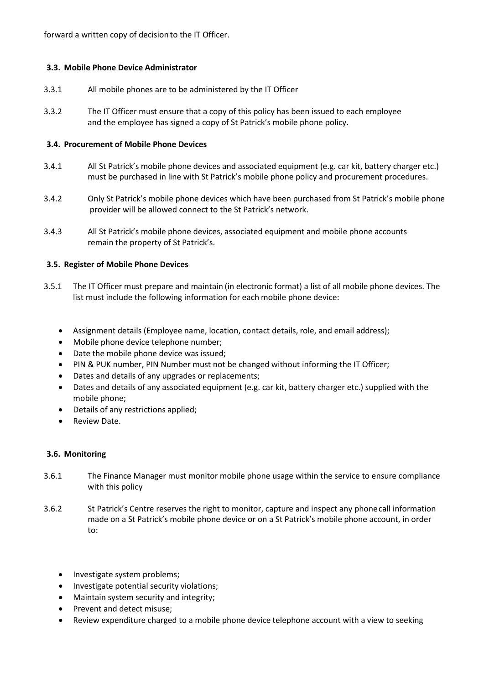forward a written copy of decision to the IT Officer.

#### **3.3. Mobile Phone Device Administrator**

- 3.3.1 All mobile phones are to be administered by the IT Officer
- 3.3.2 The IT Officer must ensure that a copy of this policy has been issued to each employee and the employee has signed a copy of St Patrick's mobile phone policy.

#### **3.4. Procurement of Mobile Phone Devices**

- 3.4.1 All St Patrick's mobile phone devices and associated equipment (e.g. car kit, battery charger etc.) must be purchased in line with St Patrick's mobile phone policy and procurement procedures.
- 3.4.2 Only St Patrick's mobile phone devices which have been purchased from St Patrick's mobile phone provider will be allowed connect to the St Patrick's network.
- 3.4.3 All St Patrick's mobile phone devices, associated equipment and mobile phone accounts remain the property of St Patrick's.

#### **3.5. Register of Mobile Phone Devices**

- 3.5.1 The IT Officer must prepare and maintain (in electronic format) a list of all mobile phone devices. The list must include the following information for each mobile phone device:
	- Assignment details (Employee name, location, contact details, role, and email address);
	- Mobile phone device telephone number;
	- Date the mobile phone device was issued;
	- PIN & PUK number, PIN Number must not be changed without informing the IT Officer;
	- Dates and details of any upgrades or replacements;
	- Dates and details of any associated equipment (e.g. car kit, battery charger etc.) supplied with the mobile phone;
	- Details of any restrictions applied;
	- Review Date.

#### **3.6. Monitoring**

- 3.6.1 The Finance Manager must monitor mobile phone usage within the service to ensure compliance with this policy
- 3.6.2 St Patrick's Centre reserves the right to monitor, capture and inspect any phonecall information made on a St Patrick's mobile phone device or on a St Patrick's mobile phone account, in order to:
	- Investigate system problems;
	- Investigate potential security violations;
	- Maintain system security and integrity;
	- Prevent and detect misuse;
	- Review expenditure charged to a mobile phone device telephone account with a view to seeking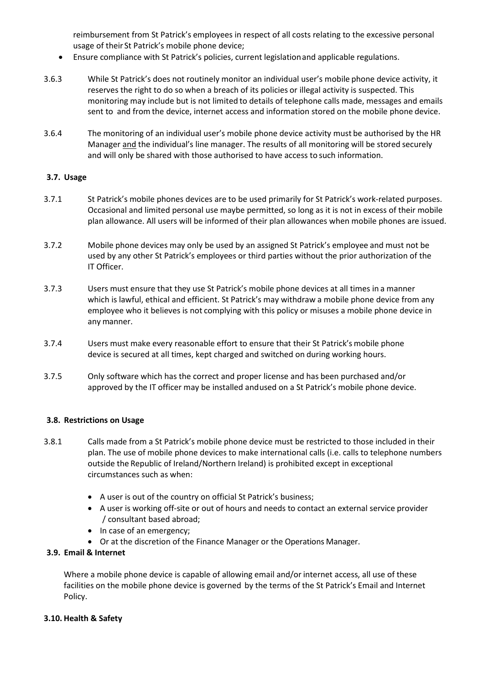reimbursement from St Patrick's employees in respect of all costs relating to the excessive personal usage of their St Patrick's mobile phone device;

- Ensure compliance with St Patrick's policies, current legislationand applicable regulations.
- 3.6.3 While St Patrick's does not routinely monitor an individual user's mobile phone device activity, it reserves the right to do so when a breach of its policies or illegal activity is suspected. This monitoring may include but is not limited to details of telephone calls made, messages and emails sent to and from the device, internet access and information stored on the mobile phone device.
- 3.6.4 The monitoring of an individual user's mobile phone device activity must be authorised by the HR Manager and the individual's line manager. The results of all monitoring will be stored securely and will only be shared with those authorised to have access to such information.

#### **3.7. Usage**

- 3.7.1 St Patrick's mobile phones devices are to be used primarily for St Patrick's work-related purposes. Occasional and limited personal use maybe permitted, so long as it is not in excess of their mobile plan allowance. All users will be informed of their plan allowances when mobile phones are issued.
- 3.7.2 Mobile phone devices may only be used by an assigned St Patrick's employee and must not be used by any other St Patrick's employees or third parties without the prior authorization of the IT Officer.
- 3.7.3 Users must ensure that they use St Patrick's mobile phone devices at all times in a manner which is lawful, ethical and efficient. St Patrick's may withdraw a mobile phone device from any employee who it believes is not complying with this policy or misuses a mobile phone device in any manner.
- 3.7.4 Users must make every reasonable effort to ensure that their St Patrick's mobile phone device is secured at all times, kept charged and switched on during working hours.
- 3.7.5 Only software which has the correct and proper license and has been purchased and/or approved by the IT officer may be installed andused on a St Patrick's mobile phone device.

#### **3.8. Restrictions on Usage**

- 3.8.1 Calls made from a St Patrick's mobile phone device must be restricted to those included in their plan. The use of mobile phone devices to make international calls (i.e. calls to telephone numbers outside the Republic of Ireland/Northern Ireland) is prohibited except in exceptional circumstances such as when:
	- A user is out of the country on official St Patrick's business;
	- A user is working off-site or out of hours and needs to contact an external service provider / consultant based abroad;
	- In case of an emergency;
	- Or at the discretion of the Finance Manager or the Operations Manager.

#### **3.9. Email & Internet**

Where a mobile phone device is capable of allowing email and/or internet access, all use of these facilities on the mobile phone device is governed by the terms of the St Patrick's Email and Internet Policy.

#### **3.10. Health & Safety**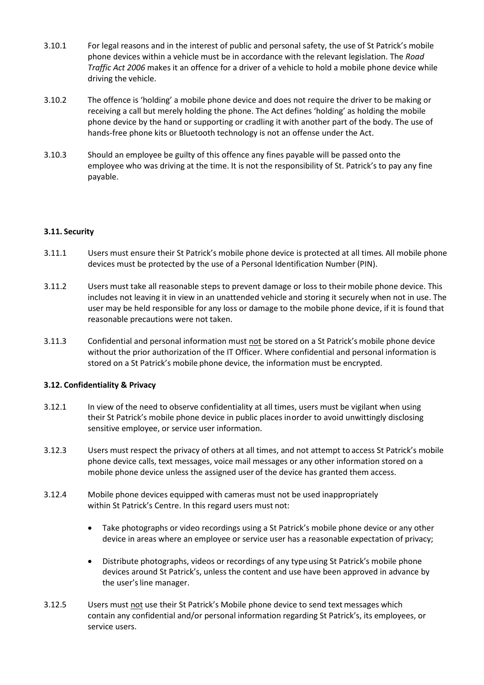- 3.10.1 For legal reasons and in the interest of public and personal safety, the use of St Patrick's mobile phone devices within a vehicle must be in accordance with the relevant legislation. The *Road Traffic Act 2006* makes it an offence for a driver of a vehicle to hold a mobile phone device while driving the vehicle.
- 3.10.2 The offence is 'holding' a mobile phone device and does not require the driver to be making or receiving a call but merely holding the phone. The Act defines 'holding' as holding the mobile phone device by the hand or supporting or cradling it with another part of the body. The use of hands-free phone kits or Bluetooth technology is not an offense under the Act.
- 3.10.3 Should an employee be guilty of this offence any fines payable will be passed onto the employee who was driving at the time. It is not the responsibility of St. Patrick's to pay any fine payable.

#### **3.11. Security**

- 3.11.1 Users must ensure their St Patrick's mobile phone device is protected at all times*.* All mobile phone devices must be protected by the use of a Personal Identification Number (PIN).
- 3.11.2 Users must take all reasonable steps to prevent damage or loss to theirmobile phone device. This includes not leaving it in view in an unattended vehicle and storing it securely when not in use. The user may be held responsible for any loss or damage to the mobile phone device, if it is found that reasonable precautions were not taken.
- 3.11.3 Confidential and personal information must not be stored on a St Patrick's mobile phone device without the prior authorization of the IT Officer. Where confidential and personal information is stored on a St Patrick's mobile phone device, the information must be encrypted.

#### **3.12. Confidentiality & Privacy**

- 3.12.1 In view of the need to observe confidentiality at all times, users must be vigilant when using their St Patrick's mobile phone device in public places inorder to avoid unwittingly disclosing sensitive employee, or service user information.
- 3.12.3 Users must respect the privacy of others at all times, and not attempt to access St Patrick's mobile phone device calls, text messages, voice mail messages or any other information stored on a mobile phone device unless the assigned user of the device has granted them access.
- 3.12.4 Mobile phone devices equipped with cameras must not be used inappropriately within St Patrick's Centre. In this regard users must not:
	- Take photographs or video recordings using a St Patrick's mobile phone device or any other device in areas where an employee or service user has a reasonable expectation of privacy;
	- Distribute photographs, videos or recordings of any type using St Patrick's mobile phone devices around St Patrick's, unless the content and use have been approved in advance by the user's line manager.
- 3.12.5 Users must not use their St Patrick's Mobile phone device to send textmessages which contain any confidential and/or personal information regarding St Patrick's, its employees, or service users.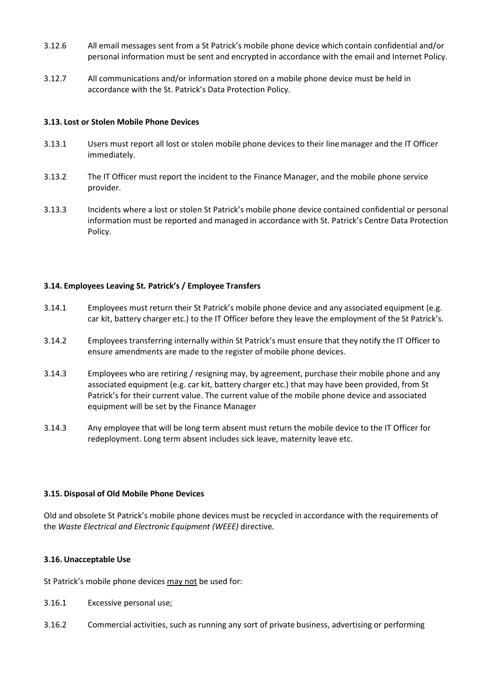- 3.12.6 All email messages sent from a St Patrick's mobile phone device which contain confidential and/or personal information must be sent and encrypted in accordance with the email and Internet Policy.
- 3.12.7 All communications and/or information stored on a mobile phone device must be held in accordance with the St. Patrick's Data Protection Policy.

#### **3.13. Lost or Stolen Mobile Phone Devices**

- 3.13.1 Users must report all lost or stolen mobile phone devices to their linemanager and the IT Officer immediately.
- 3.13.2 The IT Officer must report the incident to the Finance Manager, and the mobile phone service provider.
- 3.13.3 Incidents where a lost or stolen St Patrick's mobile phone device contained confidential or personal information must be reported and managed in accordance with St. Patrick's Centre Data Protection Policy.

#### **3.14. Employees Leaving St. Patrick's / Employee Transfers**

- 3.14.1 Employees must return their St Patrick's mobile phone device and any associated equipment (e.g. car kit, battery charger etc.) to the IT Officer before they leave the employment of the St Patrick's.
- 3.14.2 Employees transferring internally within St Patrick's must ensure that they notify the IT Officer to ensure amendments are made to the register of mobile phone devices.
- 3.14.3 Employees who are retiring / resigning may, by agreement, purchase their mobile phone and any associated equipment (e.g. car kit, battery charger etc.) that may have been provided, from St Patrick's for their current value. The current value of the mobile phone device and associated equipment will be set by the Finance Manager
- 3.14.3 Any employee that will be long term absent must return the mobile device to the IT Officer for redeployment. Long term absent includes sick leave, maternity leave etc.

#### **3.15. Disposal of Old Mobile Phone Devices**

Old and obsolete St Patrick's mobile phone devices must be recycled in accordance with the requirements of the *Waste Electrical and Electronic Equipment (WEEE)* directive*.*

#### **3.16. Unacceptable Use**

St Patrick's mobile phone devices may not be used for:

- 3.16.1 Excessive personal use;
- 3.16.2 Commercial activities, such as running any sort of private business, advertising or performing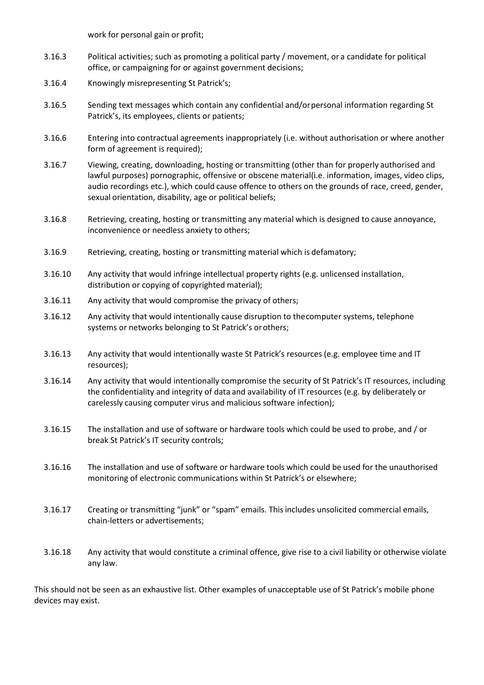work for personal gain or profit;

- 3.16.3 Political activities; such as promoting a political party / movement, or a candidate for political office, or campaigning for or against government decisions;
- 3.16.4 Knowingly misrepresenting St Patrick's;
- 3.16.5 Sending text messages which contain any confidential and/orpersonal information regarding St Patrick's, its employees, clients or patients;
- 3.16.6 Entering into contractual agreements inappropriately (i.e. without authorisation or where another form of agreement is required);
- 3.16.7 Viewing, creating, downloading, hosting or transmitting (other than for properly authorised and lawful purposes) pornographic, offensive or obscene material(i.e. information, images, video clips, audio recordings etc.), which could cause offence to others on the grounds of race, creed, gender, sexual orientation, disability, age or political beliefs;
- 3.16.8 Retrieving, creating, hosting or transmitting any material which is designed to cause annoyance, inconvenience or needless anxiety to others;
- 3.16.9 Retrieving, creating, hosting or transmitting material which is defamatory;
- 3.16.10 Any activity that would infringe intellectual property rights (e.g. unlicensed installation, distribution or copying of copyrighted material);
- 3.16.11 Any activity that would compromise the privacy of others;
- 3.16.12 Any activity that would intentionally cause disruption to thecomputer systems, telephone systems or networks belonging to St Patrick's orothers;
- 3.16.13 Any activity that would intentionally waste St Patrick's resources (e.g. employee time and IT resources);
- 3.16.14 Any activity that would intentionally compromise the security of St Patrick's IT resources, including the confidentiality and integrity of data and availability of IT resources (e.g. by deliberately or carelessly causing computer virus and malicious software infection);
- 3.16.15 The installation and use of software or hardware tools which could be used to probe, and / or break St Patrick's IT security controls;
- 3.16.16 The installation and use of software or hardware tools which could be used for the unauthorised monitoring of electronic communications within St Patrick's or elsewhere;
- 3.16.17 Creating or transmitting "junk" or "spam" emails. Thisincludes unsolicited commercial emails, chain-letters or advertisements;
- 3.16.18 Any activity that would constitute a criminal offence, give rise to a civil liability or otherwise violate any law.

This should not be seen as an exhaustive list. Other examples of unacceptable use of St Patrick's mobile phone devices may exist.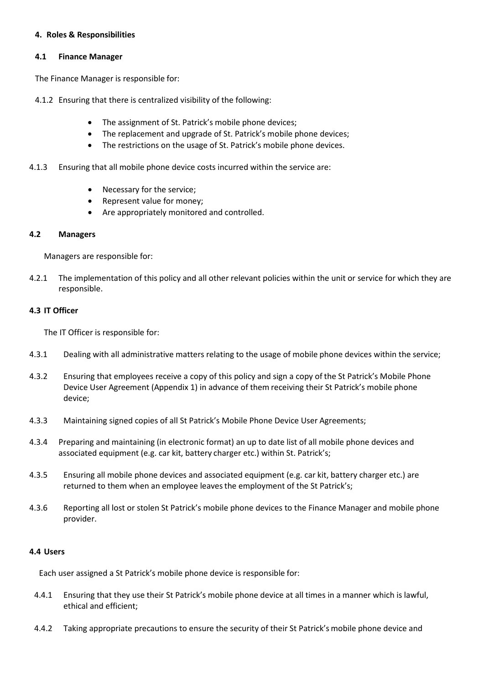#### **4. Roles & Responsibilities**

#### **4.1 Finance Manager**

The Finance Manager is responsible for:

4.1.2 Ensuring that there is centralized visibility of the following:

- The assignment of St. Patrick's mobile phone devices;
- The replacement and upgrade of St. Patrick's mobile phone devices;
- The restrictions on the usage of St. Patrick's mobile phone devices.
- 4.1.3 Ensuring that all mobile phone device costs incurred within the service are:
	- Necessary for the service;
	- Represent value for money;
	- Are appropriately monitored and controlled.

#### **4.2 Managers**

Managers are responsible for:

4.2.1 The implementation of this policy and all other relevant policies within the unit or service for which they are responsible.

#### **4.3 IT Officer**

The IT Officer is responsible for:

- 4.3.1 Dealing with all administrative matters relating to the usage of mobile phone devices within the service;
- 4.3.2 Ensuring that employees receive a copy of this policy and sign a copy of the St Patrick's Mobile Phone Device User Agreement (Appendix 1) in advance of them receiving their St Patrick's mobile phone device;
- 4.3.3 Maintaining signed copies of all St Patrick's Mobile Phone Device User Agreements;
- 4.3.4 Preparing and maintaining (in electronic format) an up to date list of all mobile phone devices and associated equipment (e.g. car kit, battery charger etc.) within St. Patrick's;
- 4.3.5 Ensuring all mobile phone devices and associated equipment (e.g. car kit, battery charger etc.) are returned to them when an employee leavesthe employment of the St Patrick's;
- 4.3.6 Reporting all lost or stolen St Patrick's mobile phone devices to the Finance Manager and mobile phone provider.

#### **4.4 Users**

Each user assigned a St Patrick's mobile phone device is responsible for:

- 4.4.1 Ensuring that they use their St Patrick's mobile phone device at all times in a manner which is lawful, ethical and efficient;
- 4.4.2 Taking appropriate precautions to ensure the security of their St Patrick's mobile phone device and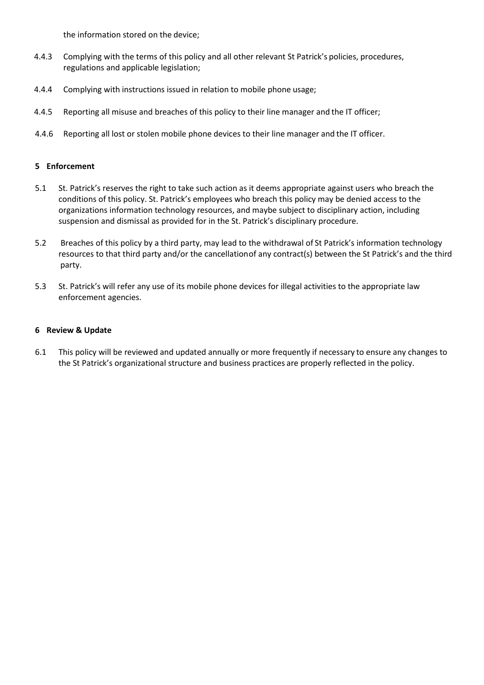the information stored on the device;

- 4.4.3 Complying with the terms of this policy and all other relevant St Patrick's policies, procedures, regulations and applicable legislation;
- 4.4.4 Complying with instructions issued in relation to mobile phone usage;
- 4.4.5 Reporting all misuse and breaches of this policy to their line manager and the IT officer;
- 4.4.6 Reporting all lost or stolen mobile phone devices to their line manager and the IT officer.

#### **5 Enforcement**

- 5.1 St. Patrick's reserves the right to take such action as it deems appropriate against users who breach the conditions of this policy. St. Patrick's employees who breach this policy may be denied access to the organizations information technology resources, and maybe subject to disciplinary action, including suspension and dismissal as provided for in the St. Patrick's disciplinary procedure.
- 5.2 Breaches of this policy by a third party, may lead to the withdrawal of St Patrick's information technology resources to that third party and/or the cancellationof any contract(s) between the St Patrick's and the third party.
- 5.3 St. Patrick's will refer any use of its mobile phone devices for illegal activities to the appropriate law enforcement agencies.

#### **6 Review & Update**

6.1 This policy will be reviewed and updated annually or more frequently if necessary to ensure any changes to the St Patrick's organizational structure and business practices are properly reflected in the policy.